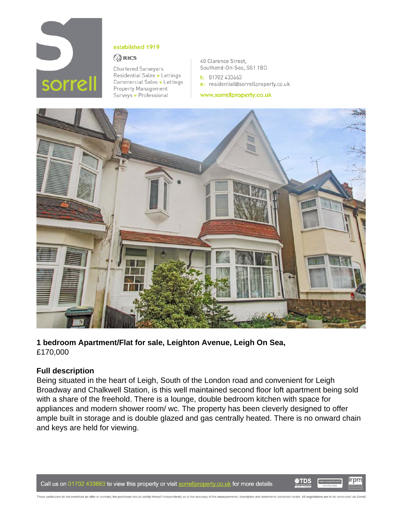

#### established 1919

#### **QRICS**

**Chartered Surveyors** Residential Sales + Lettings Commercial Sales + Lettings Property Management Surveys + Professional

40 Clarence Street, Southend-On-Sea, SS1 1BD

 $t: 01702433663$ e: residential@sorrellproperty.co.uk

www.sorrellproperty.co.uk



**1 bedroom Apartment/Flat for sale, Leighton Avenue, Leigh On Sea,**  £170,000

# **Full description**

Being situated in the heart of Leigh, South of the London road and convenient for Leigh Broadway and Chalkwell Station, is this well maintained second floor loft apartment being sold with a share of the freehold. There is a lounge, double bedroom kitchen with space for appliances and modern shower room/ wc. The property has been cleverly designed to offer ample built in storage and is double glazed and gas centrally heated. There is no onward chain and keys are held for viewing.

These particulars do not constitute an offer or contract, the purchaser should satisfy himself independently as to the accuracy of the measurements, description and statements contained herein. All negotiations are to be c

Call us on 01702 433663 to view this property or visit sorrellproperty.co.uk for more details

irpm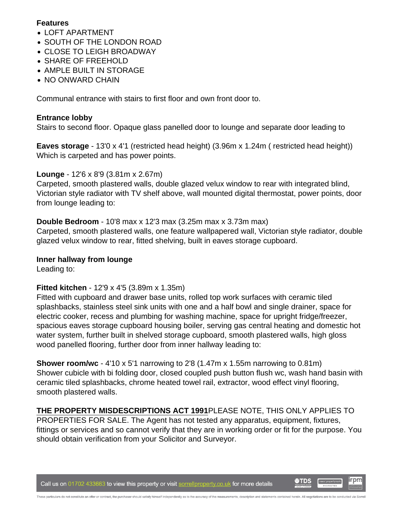## **Features**

- LOFT APARTMENT
- SOUTH OF THE LONDON ROAD
- CLOSE TO LEIGH BROADWAY
- SHARE OF FREEHOLD
- AMPLE BUILT IN STORAGE
- NO ONWARD CHAIN

Communal entrance with stairs to first floor and own front door to.

## **Entrance lobby**

Stairs to second floor. Opaque glass panelled door to lounge and separate door leading to

**Eaves storage** - 13'0 x 4'1 (restricted head height) (3.96m x 1.24m ( restricted head height)) Which is carpeted and has power points.

# **Lounge** - 12'6 x 8'9 (3.81m x 2.67m)

Carpeted, smooth plastered walls, double glazed velux window to rear with integrated blind, Victorian style radiator with TV shelf above, wall mounted digital thermostat, power points, door from lounge leading to:

# **Double Bedroom** - 10'8 max x 12'3 max (3.25m max x 3.73m max)

Carpeted, smooth plastered walls, one feature wallpapered wall, Victorian style radiator, double glazed velux window to rear, fitted shelving, built in eaves storage cupboard.

# **Inner hallway from lounge**

Leading to:

# **Fitted kitchen** - 12'9 x 4'5 (3.89m x 1.35m)

Fitted with cupboard and drawer base units, rolled top work surfaces with ceramic tiled splashbacks, stainless steel sink units with one and a half bowl and single drainer, space for electric cooker, recess and plumbing for washing machine, space for upright fridge/freezer, spacious eaves storage cupboard housing boiler, serving gas central heating and domestic hot water system, further built in shelved storage cupboard, smooth plastered walls, high gloss wood panelled flooring, further door from inner hallway leading to:

**Shower room/wc** - 4'10 x 5'1 narrowing to 2'8 (1.47m x 1.55m narrowing to 0.81m) Shower cubicle with bi folding door, closed coupled push button flush wc, wash hand basin with ceramic tiled splashbacks, chrome heated towel rail, extractor, wood effect vinyl flooring, smooth plastered walls.

**THE PROPERTY MISDESCRIPTIONS ACT 1991**PLEASE NOTE, THIS ONLY APPLIES TO PROPERTIES FOR SALE. The Agent has not tested any apparatus, equipment, fixtures, fittings or services and so cannot verify that they are in working order or fit for the purpose. You should obtain verification from your Solicitor and Surveyor.

Call us on 01702 433663 to view this property or visit sorrellproperty.co.uk for more details

irpm

**O**TDS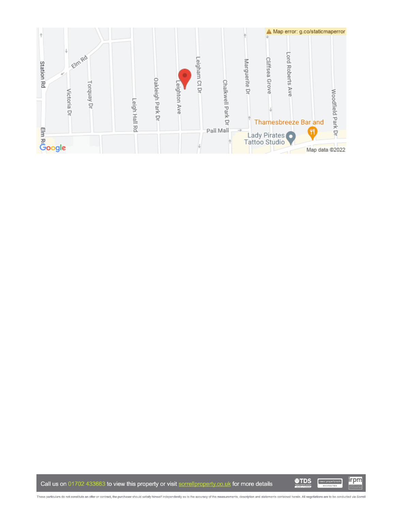

Call us on 01702 433663 to view this property or visit sorrellproperty.co.uk for more details

**OTDS irpm** naealpropertymark

These particulars do not constitute an offer or contract, the purchaser should satisfy himself independently as to the accuracy of the measurements, description and statements contained herein. All negotiations are to be c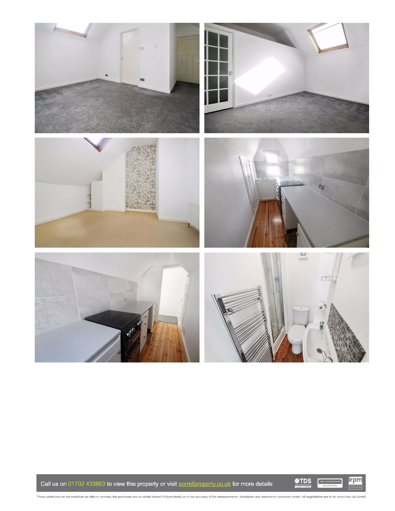

Call us on 01702 433663 to view this property or visit sorrellproperty.co.uk for more details

**OTDS** 

irpm

These particulars do not constitute an offer or contract, the purchaser should satisfy himself independently as to the accuracy of the measurements, description and statements contained herein. All negotiations are to be c